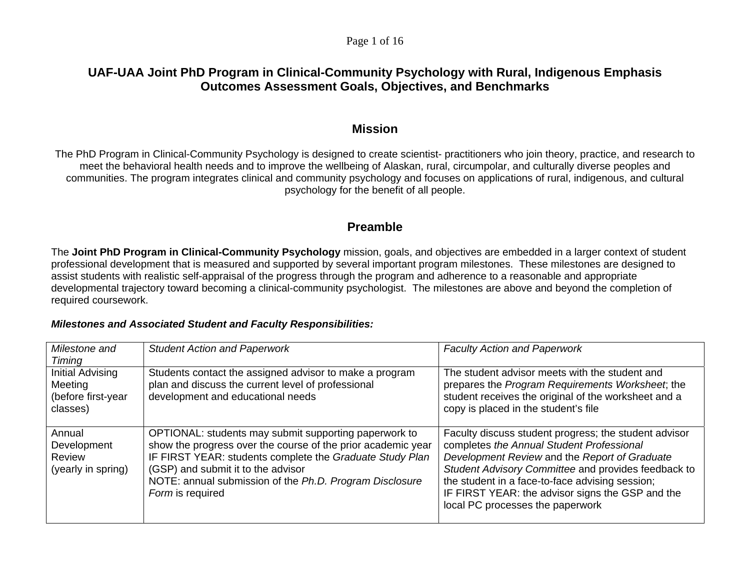#### Page 1 of 16

# **UAF-UAA Joint PhD Program in Clinical-Community Psychology with Rural, Indigenous Emphasis Outcomes Assessment Goals, Objectives, and Benchmarks**

## **Mission**

The PhD Program in Clinical-Community Psychology is designed to create scientist- practitioners who join theory, practice, and research to meet the behavioral health needs and to improve the wellbeing of Alaskan, rural, circumpolar, and culturally diverse peoples and communities. The program integrates clinical and community psychology and focuses on applications of rural, indigenous, and cultural psychology for the benefit of all people.

## **Preamble**

The **Joint PhD Program in Clinical-Community Psychology** mission, goals, and objectives are embedded in a larger context of student professional development that is measured and supported by several important program milestones. These milestones are designed to assist students with realistic self-appraisal of the progress through the program and adherence to a reasonable and appropriate developmental trajectory toward becoming a clinical-community psychologist. The milestones are above and beyond the completion of required coursework.

#### *Milestones and Associated Student and Faculty Responsibilities:*

| Milestone and                                                           | <b>Student Action and Paperwork</b>                                                                                                                                                                                                                                                                    | <b>Faculty Action and Paperwork</b>                                                                                                                                                                                                                                                                                                                   |
|-------------------------------------------------------------------------|--------------------------------------------------------------------------------------------------------------------------------------------------------------------------------------------------------------------------------------------------------------------------------------------------------|-------------------------------------------------------------------------------------------------------------------------------------------------------------------------------------------------------------------------------------------------------------------------------------------------------------------------------------------------------|
| Timing<br>Initial Advising<br>Meeting<br>(before first-year<br>classes) | Students contact the assigned advisor to make a program<br>plan and discuss the current level of professional<br>development and educational needs                                                                                                                                                     | The student advisor meets with the student and<br>prepares the Program Requirements Worksheet, the<br>student receives the original of the worksheet and a<br>copy is placed in the student's file                                                                                                                                                    |
| Annual<br>Development<br>Review<br>(yearly in spring)                   | OPTIONAL: students may submit supporting paperwork to<br>show the progress over the course of the prior academic year<br>IF FIRST YEAR: students complete the Graduate Study Plan<br>(GSP) and submit it to the advisor<br>NOTE: annual submission of the Ph.D. Program Disclosure<br>Form is required | Faculty discuss student progress; the student advisor<br>completes the Annual Student Professional<br>Development Review and the Report of Graduate<br>Student Advisory Committee and provides feedback to<br>the student in a face-to-face advising session;<br>IF FIRST YEAR: the advisor signs the GSP and the<br>local PC processes the paperwork |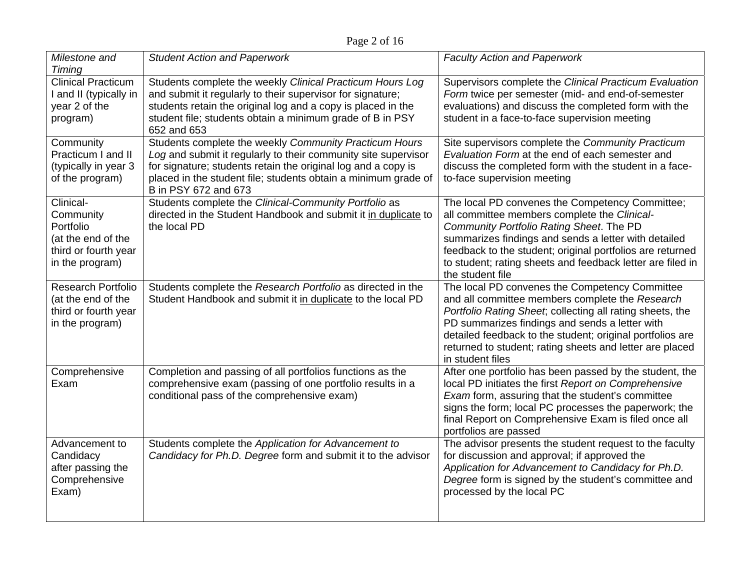| Milestone and<br>Timing                                                                              | <b>Student Action and Paperwork</b>                                                                                                                                                                                                                                                 | <b>Faculty Action and Paperwork</b>                                                                                                                                                                                                                                                                                                                           |
|------------------------------------------------------------------------------------------------------|-------------------------------------------------------------------------------------------------------------------------------------------------------------------------------------------------------------------------------------------------------------------------------------|---------------------------------------------------------------------------------------------------------------------------------------------------------------------------------------------------------------------------------------------------------------------------------------------------------------------------------------------------------------|
| <b>Clinical Practicum</b><br>I and II (typically in<br>year 2 of the<br>program)                     | Students complete the weekly Clinical Practicum Hours Log<br>and submit it regularly to their supervisor for signature;<br>students retain the original log and a copy is placed in the<br>student file; students obtain a minimum grade of B in PSY<br>652 and 653                 | Supervisors complete the Clinical Practicum Evaluation<br>Form twice per semester (mid- and end-of-semester<br>evaluations) and discuss the completed form with the<br>student in a face-to-face supervision meeting                                                                                                                                          |
| Community<br>Practicum I and II<br>(typically in year 3<br>of the program)                           | Students complete the weekly Community Practicum Hours<br>Log and submit it regularly to their community site supervisor<br>for signature; students retain the original log and a copy is<br>placed in the student file; students obtain a minimum grade of<br>B in PSY 672 and 673 | Site supervisors complete the Community Practicum<br>Evaluation Form at the end of each semester and<br>discuss the completed form with the student in a face-<br>to-face supervision meeting                                                                                                                                                                 |
| Clinical-<br>Community<br>Portfolio<br>(at the end of the<br>third or fourth year<br>in the program) | Students complete the Clinical-Community Portfolio as<br>directed in the Student Handbook and submit it in duplicate to<br>the local PD                                                                                                                                             | The local PD convenes the Competency Committee;<br>all committee members complete the Clinical-<br>Community Portfolio Rating Sheet. The PD<br>summarizes findings and sends a letter with detailed<br>feedback to the student; original portfolios are returned<br>to student; rating sheets and feedback letter are filed in<br>the student file            |
| <b>Research Portfolio</b><br>(at the end of the<br>third or fourth year<br>in the program)           | Students complete the Research Portfolio as directed in the<br>Student Handbook and submit it in duplicate to the local PD                                                                                                                                                          | The local PD convenes the Competency Committee<br>and all committee members complete the Research<br>Portfolio Rating Sheet; collecting all rating sheets, the<br>PD summarizes findings and sends a letter with<br>detailed feedback to the student; original portfolios are<br>returned to student; rating sheets and letter are placed<br>in student files |
| Comprehensive<br>Exam                                                                                | Completion and passing of all portfolios functions as the<br>comprehensive exam (passing of one portfolio results in a<br>conditional pass of the comprehensive exam)                                                                                                               | After one portfolio has been passed by the student, the<br>local PD initiates the first Report on Comprehensive<br>Exam form, assuring that the student's committee<br>signs the form; local PC processes the paperwork; the<br>final Report on Comprehensive Exam is filed once all<br>portfolios are passed                                                 |
| Advancement to<br>Candidacy<br>after passing the<br>Comprehensive<br>Exam)                           | Students complete the Application for Advancement to<br>Candidacy for Ph.D. Degree form and submit it to the advisor                                                                                                                                                                | The advisor presents the student request to the faculty<br>for discussion and approval; if approved the<br>Application for Advancement to Candidacy for Ph.D.<br>Degree form is signed by the student's committee and<br>processed by the local PC                                                                                                            |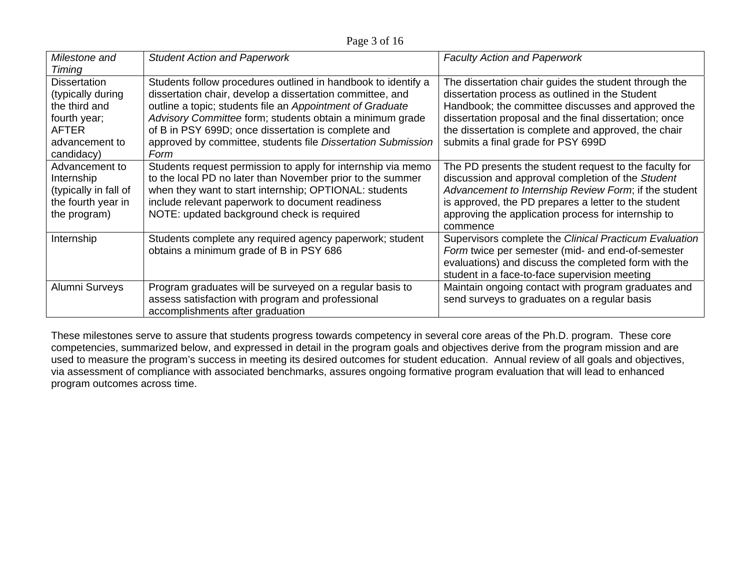Page 3 of 16

| Milestone and<br>Timing                                                                                                   | <b>Student Action and Paperwork</b>                                                                                                                                                                                                                                                                                                                                                | <b>Faculty Action and Paperwork</b>                                                                                                                                                                                                                                                                                    |
|---------------------------------------------------------------------------------------------------------------------------|------------------------------------------------------------------------------------------------------------------------------------------------------------------------------------------------------------------------------------------------------------------------------------------------------------------------------------------------------------------------------------|------------------------------------------------------------------------------------------------------------------------------------------------------------------------------------------------------------------------------------------------------------------------------------------------------------------------|
| <b>Dissertation</b><br>(typically during<br>the third and<br>fourth year;<br><b>AFTER</b><br>advancement to<br>candidacy) | Students follow procedures outlined in handbook to identify a<br>dissertation chair, develop a dissertation committee, and<br>outline a topic; students file an Appointment of Graduate<br>Advisory Committee form; students obtain a minimum grade<br>of B in PSY 699D; once dissertation is complete and<br>approved by committee, students file Dissertation Submission<br>Form | The dissertation chair guides the student through the<br>dissertation process as outlined in the Student<br>Handbook; the committee discusses and approved the<br>dissertation proposal and the final dissertation; once<br>the dissertation is complete and approved, the chair<br>submits a final grade for PSY 699D |
| Advancement to<br>Internship<br>(typically in fall of<br>the fourth year in<br>the program)                               | Students request permission to apply for internship via memo<br>to the local PD no later than November prior to the summer<br>when they want to start internship; OPTIONAL: students<br>include relevant paperwork to document readiness<br>NOTE: updated background check is required                                                                                             | The PD presents the student request to the faculty for<br>discussion and approval completion of the Student<br>Advancement to Internship Review Form; if the student<br>is approved, the PD prepares a letter to the student<br>approving the application process for internship to<br>commence                        |
| Internship                                                                                                                | Students complete any required agency paperwork; student<br>obtains a minimum grade of B in PSY 686                                                                                                                                                                                                                                                                                | Supervisors complete the Clinical Practicum Evaluation<br>Form twice per semester (mid- and end-of-semester<br>evaluations) and discuss the completed form with the<br>student in a face-to-face supervision meeting                                                                                                   |
| Alumni Surveys                                                                                                            | Program graduates will be surveyed on a regular basis to<br>assess satisfaction with program and professional<br>accomplishments after graduation                                                                                                                                                                                                                                  | Maintain ongoing contact with program graduates and<br>send surveys to graduates on a regular basis                                                                                                                                                                                                                    |

These milestones serve to assure that students progress towards competency in several core areas of the Ph.D. program. These core competencies, summarized below, and expressed in detail in the program goals and objectives derive from the program mission and are used to measure the program's success in meeting its desired outcomes for student education. Annual review of all goals and objectives, via assessment of compliance with associated benchmarks, assures ongoing formative program evaluation that will lead to enhanced program outcomes across time.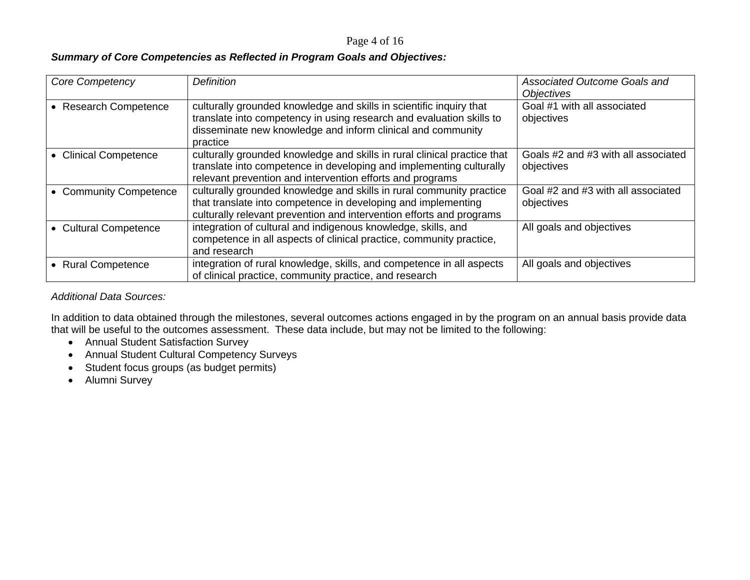#### Page 4 of 16

#### *Summary of Core Competencies as Reflected in Program Goals and Objectives:*

| Core Competency        | <b>Definition</b>                                                                                                                                                                                                      | Associated Outcome Goals and<br><i><b>Objectives</b></i> |
|------------------------|------------------------------------------------------------------------------------------------------------------------------------------------------------------------------------------------------------------------|----------------------------------------------------------|
| • Research Competence  | culturally grounded knowledge and skills in scientific inquiry that<br>translate into competency in using research and evaluation skills to<br>disseminate new knowledge and inform clinical and community<br>practice | Goal #1 with all associated<br>objectives                |
| • Clinical Competence  | culturally grounded knowledge and skills in rural clinical practice that<br>translate into competence in developing and implementing culturally<br>relevant prevention and intervention efforts and programs           | Goals #2 and #3 with all associated<br>objectives        |
| • Community Competence | culturally grounded knowledge and skills in rural community practice<br>that translate into competence in developing and implementing<br>culturally relevant prevention and intervention efforts and programs          | Goal #2 and #3 with all associated<br>objectives         |
| • Cultural Competence  | integration of cultural and indigenous knowledge, skills, and<br>competence in all aspects of clinical practice, community practice,<br>and research                                                                   | All goals and objectives                                 |
| • Rural Competence     | integration of rural knowledge, skills, and competence in all aspects<br>of clinical practice, community practice, and research                                                                                        | All goals and objectives                                 |

#### *Additional Data Sources:*

In addition to data obtained through the milestones, several outcomes actions engaged in by the program on an annual basis provide data that will be useful to the outcomes assessment. These data include, but may not be limited to the following:

- Annual Student Satisfaction Survey
- Annual Student Cultural Competency Surveys
- Student focus groups (as budget permits)
- Alumni Survey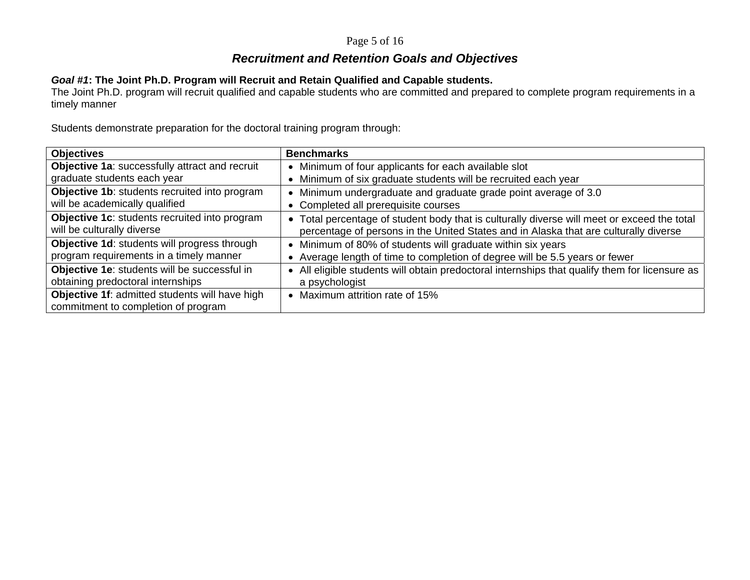#### Page 5 of 16

# *Recruitment and Retention Goals and Objectives*

## *Goal #1***: The Joint Ph.D. Program will Recruit and Retain Qualified and Capable students.**

The Joint Ph.D. program will recruit qualified and capable students who are committed and prepared to complete program requirements in a timely manner

Students demonstrate preparation for the doctoral training program through:

| <b>Objectives</b>                              | <b>Benchmarks</b>                                                                            |
|------------------------------------------------|----------------------------------------------------------------------------------------------|
| Objective 1a: successfully attract and recruit | Minimum of four applicants for each available slot                                           |
| graduate students each year                    | Minimum of six graduate students will be recruited each year                                 |
| Objective 1b: students recruited into program  | Minimum undergraduate and graduate grade point average of 3.0                                |
| will be academically qualified                 | • Completed all prerequisite courses                                                         |
| Objective 1c: students recruited into program  | • Total percentage of student body that is culturally diverse will meet or exceed the total  |
| will be culturally diverse                     | percentage of persons in the United States and in Alaska that are culturally diverse         |
| Objective 1d: students will progress through   | Minimum of 80% of students will graduate within six years                                    |
| program requirements in a timely manner        | Average length of time to completion of degree will be 5.5 years or fewer                    |
| Objective 1e: students will be successful in   | All eligible students will obtain predoctoral internships that qualify them for licensure as |
| obtaining predoctoral internships              | a psychologist                                                                               |
| Objective 1f: admitted students will have high | Maximum attrition rate of 15%                                                                |
| commitment to completion of program            |                                                                                              |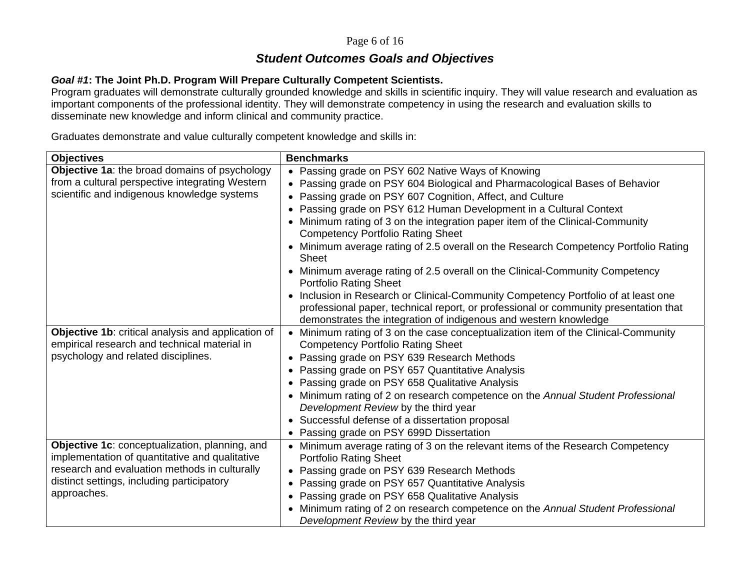#### Page 6 of 16

# *Student Outcomes Goals and Objectives*

#### *Goal #1***: The Joint Ph.D. Program Will Prepare Culturally Competent Scientists.**

Program graduates will demonstrate culturally grounded knowledge and skills in scientific inquiry. They will value research and evaluation as important components of the professional identity. They will demonstrate competency in using the research and evaluation skills to disseminate new knowledge and inform clinical and community practice.

Graduates demonstrate and value culturally competent knowledge and skills in:

| <b>Objectives</b>                                                                               | <b>Benchmarks</b>                                                                                                                                        |
|-------------------------------------------------------------------------------------------------|----------------------------------------------------------------------------------------------------------------------------------------------------------|
| Objective 1a: the broad domains of psychology                                                   | Passing grade on PSY 602 Native Ways of Knowing                                                                                                          |
| from a cultural perspective integrating Western                                                 | Passing grade on PSY 604 Biological and Pharmacological Bases of Behavior                                                                                |
| scientific and indigenous knowledge systems                                                     | Passing grade on PSY 607 Cognition, Affect, and Culture                                                                                                  |
|                                                                                                 | Passing grade on PSY 612 Human Development in a Cultural Context                                                                                         |
|                                                                                                 | Minimum rating of 3 on the integration paper item of the Clinical-Community<br><b>Competency Portfolio Rating Sheet</b>                                  |
|                                                                                                 | Minimum average rating of 2.5 overall on the Research Competency Portfolio Rating<br>Sheet                                                               |
|                                                                                                 | • Minimum average rating of 2.5 overall on the Clinical-Community Competency<br><b>Portfolio Rating Sheet</b>                                            |
|                                                                                                 | Inclusion in Research or Clinical-Community Competency Portfolio of at least one                                                                         |
|                                                                                                 | professional paper, technical report, or professional or community presentation that<br>demonstrates the integration of indigenous and western knowledge |
| Objective 1b: critical analysis and application of                                              | Minimum rating of 3 on the case conceptualization item of the Clinical-Community                                                                         |
| empirical research and technical material in                                                    | <b>Competency Portfolio Rating Sheet</b>                                                                                                                 |
| psychology and related disciplines.                                                             | Passing grade on PSY 639 Research Methods                                                                                                                |
|                                                                                                 | Passing grade on PSY 657 Quantitative Analysis<br>$\bullet$                                                                                              |
|                                                                                                 | Passing grade on PSY 658 Qualitative Analysis<br>$\bullet$                                                                                               |
|                                                                                                 | Minimum rating of 2 on research competence on the Annual Student Professional                                                                            |
|                                                                                                 | Development Review by the third year                                                                                                                     |
|                                                                                                 | Successful defense of a dissertation proposal                                                                                                            |
|                                                                                                 | Passing grade on PSY 699D Dissertation                                                                                                                   |
| Objective 1c: conceptualization, planning, and                                                  | Minimum average rating of 3 on the relevant items of the Research Competency                                                                             |
| implementation of quantitative and qualitative<br>research and evaluation methods in culturally | <b>Portfolio Rating Sheet</b>                                                                                                                            |
| distinct settings, including participatory                                                      | Passing grade on PSY 639 Research Methods                                                                                                                |
| approaches.                                                                                     | Passing grade on PSY 657 Quantitative Analysis                                                                                                           |
|                                                                                                 | Passing grade on PSY 658 Qualitative Analysis                                                                                                            |
|                                                                                                 | Minimum rating of 2 on research competence on the Annual Student Professional<br>Development Review by the third year                                    |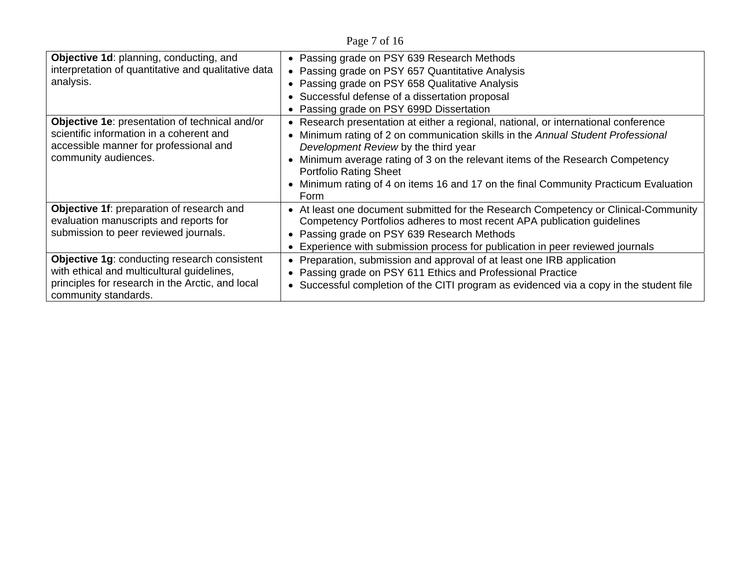Page 7 of 16

| Objective 1d: planning, conducting, and<br>interpretation of quantitative and qualitative data<br>analysis.<br>Objective 1e: presentation of technical and/or<br>scientific information in a coherent and<br>accessible manner for professional and<br>community audiences. | • Passing grade on PSY 639 Research Methods<br>• Passing grade on PSY 657 Quantitative Analysis<br>Passing grade on PSY 658 Qualitative Analysis<br>• Successful defense of a dissertation proposal<br>• Passing grade on PSY 699D Dissertation<br>Research presentation at either a regional, national, or international conference<br>Minimum rating of 2 on communication skills in the Annual Student Professional<br>Development Review by the third year<br>Minimum average rating of 3 on the relevant items of the Research Competency<br><b>Portfolio Rating Sheet</b> |
|-----------------------------------------------------------------------------------------------------------------------------------------------------------------------------------------------------------------------------------------------------------------------------|---------------------------------------------------------------------------------------------------------------------------------------------------------------------------------------------------------------------------------------------------------------------------------------------------------------------------------------------------------------------------------------------------------------------------------------------------------------------------------------------------------------------------------------------------------------------------------|
|                                                                                                                                                                                                                                                                             | Minimum rating of 4 on items 16 and 17 on the final Community Practicum Evaluation<br>Form                                                                                                                                                                                                                                                                                                                                                                                                                                                                                      |
| Objective 1f: preparation of research and<br>evaluation manuscripts and reports for<br>submission to peer reviewed journals.                                                                                                                                                | • At least one document submitted for the Research Competency or Clinical-Community<br>Competency Portfolios adheres to most recent APA publication guidelines<br>Passing grade on PSY 639 Research Methods<br>Experience with submission process for publication in peer reviewed journals                                                                                                                                                                                                                                                                                     |
| <b>Objective 1g: conducting research consistent</b><br>with ethical and multicultural guidelines,<br>principles for research in the Arctic, and local<br>community standards.                                                                                               | Preparation, submission and approval of at least one IRB application<br>Passing grade on PSY 611 Ethics and Professional Practice<br>Successful completion of the CITI program as evidenced via a copy in the student file                                                                                                                                                                                                                                                                                                                                                      |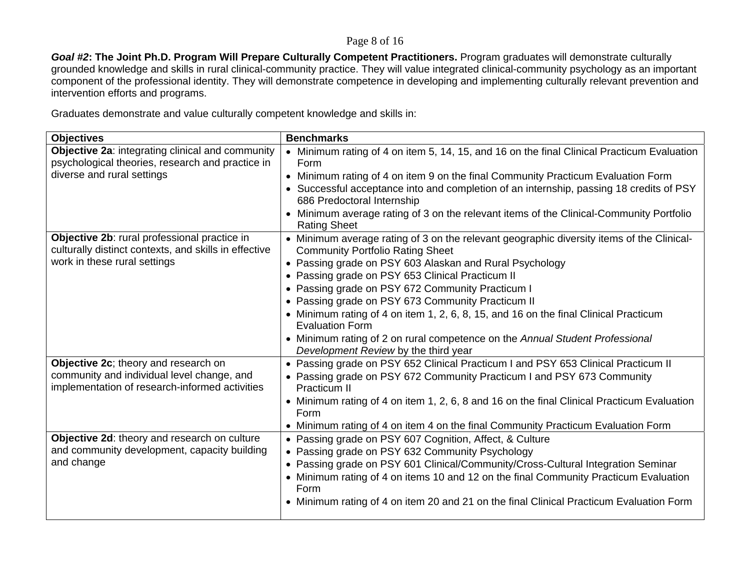#### Page 8 of 16

*Goal #2***: The Joint Ph.D. Program Will Prepare Culturally Competent Practitioners.** Program graduates will demonstrate culturally grounded knowledge and skills in rural clinical-community practice. They will value integrated clinical-community psychology as an important component of the professional identity. They will demonstrate competence in developing and implementing culturally relevant prevention and intervention efforts and programs.

Graduates demonstrate and value culturally competent knowledge and skills in:

| <b>Objectives</b>                                                                                     | <b>Benchmarks</b>                                                                                                                    |
|-------------------------------------------------------------------------------------------------------|--------------------------------------------------------------------------------------------------------------------------------------|
| Objective 2a: integrating clinical and community                                                      | Minimum rating of 4 on item 5, 14, 15, and 16 on the final Clinical Practicum Evaluation<br>$\bullet$                                |
| psychological theories, research and practice in                                                      | Form                                                                                                                                 |
| diverse and rural settings                                                                            | • Minimum rating of 4 on item 9 on the final Community Practicum Evaluation Form                                                     |
|                                                                                                       | • Successful acceptance into and completion of an internship, passing 18 credits of PSY<br>686 Predoctoral Internship                |
|                                                                                                       | Minimum average rating of 3 on the relevant items of the Clinical-Community Portfolio<br><b>Rating Sheet</b>                         |
| Objective 2b: rural professional practice in<br>culturally distinct contexts, and skills in effective | • Minimum average rating of 3 on the relevant geographic diversity items of the Clinical-<br><b>Community Portfolio Rating Sheet</b> |
| work in these rural settings                                                                          | • Passing grade on PSY 603 Alaskan and Rural Psychology                                                                              |
|                                                                                                       | • Passing grade on PSY 653 Clinical Practicum II                                                                                     |
|                                                                                                       | • Passing grade on PSY 672 Community Practicum I                                                                                     |
|                                                                                                       | • Passing grade on PSY 673 Community Practicum II                                                                                    |
|                                                                                                       | • Minimum rating of 4 on item 1, 2, 6, 8, 15, and 16 on the final Clinical Practicum<br><b>Evaluation Form</b>                       |
|                                                                                                       | • Minimum rating of 2 on rural competence on the Annual Student Professional<br>Development Review by the third year                 |
| Objective 2c; theory and research on                                                                  | • Passing grade on PSY 652 Clinical Practicum I and PSY 653 Clinical Practicum II                                                    |
| community and individual level change, and<br>implementation of research-informed activities          | • Passing grade on PSY 672 Community Practicum I and PSY 673 Community<br>Practicum II                                               |
|                                                                                                       | • Minimum rating of 4 on item 1, 2, 6, 8 and 16 on the final Clinical Practicum Evaluation<br>Form                                   |
|                                                                                                       | • Minimum rating of 4 on item 4 on the final Community Practicum Evaluation Form                                                     |
| Objective 2d: theory and research on culture                                                          | • Passing grade on PSY 607 Cognition, Affect, & Culture                                                                              |
| and community development, capacity building                                                          | • Passing grade on PSY 632 Community Psychology                                                                                      |
| and change                                                                                            | • Passing grade on PSY 601 Clinical/Community/Cross-Cultural Integration Seminar                                                     |
|                                                                                                       | • Minimum rating of 4 on items 10 and 12 on the final Community Practicum Evaluation<br>Form                                         |
|                                                                                                       | • Minimum rating of 4 on item 20 and 21 on the final Clinical Practicum Evaluation Form                                              |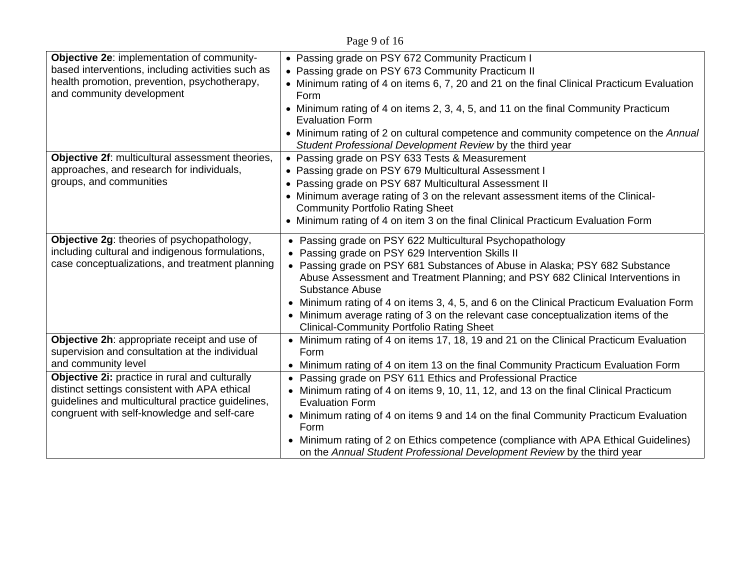Page 9 of 16

| Objective 2e: implementation of community-                                                     | • Passing grade on PSY 672 Community Practicum I                                                                                                                                 |
|------------------------------------------------------------------------------------------------|----------------------------------------------------------------------------------------------------------------------------------------------------------------------------------|
| based interventions, including activities such as                                              | Passing grade on PSY 673 Community Practicum II                                                                                                                                  |
| health promotion, prevention, psychotherapy,<br>and community development                      | • Minimum rating of 4 on items 6, 7, 20 and 21 on the final Clinical Practicum Evaluation<br>Form                                                                                |
|                                                                                                | • Minimum rating of 4 on items 2, 3, 4, 5, and 11 on the final Community Practicum<br><b>Evaluation Form</b>                                                                     |
|                                                                                                | • Minimum rating of 2 on cultural competence and community competence on the Annual<br>Student Professional Development Review by the third year                                 |
| Objective 2f: multicultural assessment theories,                                               | • Passing grade on PSY 633 Tests & Measurement                                                                                                                                   |
| approaches, and research for individuals,                                                      | • Passing grade on PSY 679 Multicultural Assessment I                                                                                                                            |
| groups, and communities                                                                        | • Passing grade on PSY 687 Multicultural Assessment II                                                                                                                           |
|                                                                                                | • Minimum average rating of 3 on the relevant assessment items of the Clinical-<br><b>Community Portfolio Rating Sheet</b>                                                       |
|                                                                                                | • Minimum rating of 4 on item 3 on the final Clinical Practicum Evaluation Form                                                                                                  |
| Objective 2g: theories of psychopathology,                                                     | Passing grade on PSY 622 Multicultural Psychopathology                                                                                                                           |
| including cultural and indigenous formulations,                                                | • Passing grade on PSY 629 Intervention Skills II                                                                                                                                |
| case conceptualizations, and treatment planning                                                | • Passing grade on PSY 681 Substances of Abuse in Alaska; PSY 682 Substance<br>Abuse Assessment and Treatment Planning; and PSY 682 Clinical Interventions in<br>Substance Abuse |
|                                                                                                | Minimum rating of 4 on items 3, 4, 5, and 6 on the Clinical Practicum Evaluation Form                                                                                            |
|                                                                                                | • Minimum average rating of 3 on the relevant case conceptualization items of the<br><b>Clinical-Community Portfolio Rating Sheet</b>                                            |
| Objective 2h: appropriate receipt and use of<br>supervision and consultation at the individual | • Minimum rating of 4 on items 17, 18, 19 and 21 on the Clinical Practicum Evaluation<br>Form                                                                                    |
| and community level                                                                            | • Minimum rating of 4 on item 13 on the final Community Practicum Evaluation Form                                                                                                |
| Objective 2i: practice in rural and culturally                                                 | Passing grade on PSY 611 Ethics and Professional Practice                                                                                                                        |
| distinct settings consistent with APA ethical                                                  | • Minimum rating of 4 on items 9, 10, 11, 12, and 13 on the final Clinical Practicum                                                                                             |
| guidelines and multicultural practice guidelines,                                              | <b>Evaluation Form</b>                                                                                                                                                           |
| congruent with self-knowledge and self-care                                                    | • Minimum rating of 4 on items 9 and 14 on the final Community Practicum Evaluation<br>Form                                                                                      |
|                                                                                                | Minimum rating of 2 on Ethics competence (compliance with APA Ethical Guidelines)                                                                                                |
|                                                                                                | on the Annual Student Professional Development Review by the third year                                                                                                          |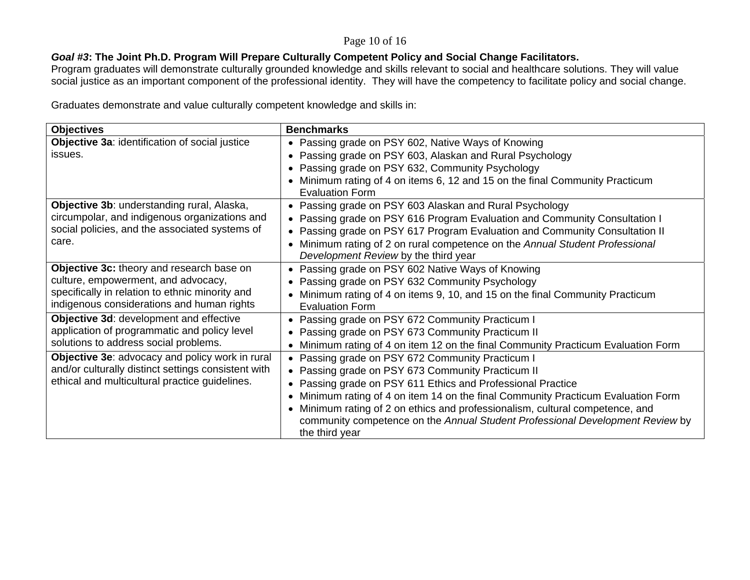#### Page 10 of 16

## *Goal #3***: The Joint Ph.D. Program Will Prepare Culturally Competent Policy and Social Change Facilitators.**

Program graduates will demonstrate culturally grounded knowledge and skills relevant to social and healthcare solutions. They will value social justice as an important component of the professional identity. They will have the competency to facilitate policy and social change.

Graduates demonstrate and value culturally competent knowledge and skills in:

| <b>Objectives</b>                                   | <b>Benchmarks</b>                                                                                    |
|-----------------------------------------------------|------------------------------------------------------------------------------------------------------|
| Objective 3a: identification of social justice      | Passing grade on PSY 602, Native Ways of Knowing                                                     |
| issues.                                             | Passing grade on PSY 603, Alaskan and Rural Psychology                                               |
|                                                     | Passing grade on PSY 632, Community Psychology                                                       |
|                                                     | Minimum rating of 4 on items 6, 12 and 15 on the final Community Practicum<br><b>Evaluation Form</b> |
| Objective 3b: understanding rural, Alaska,          | Passing grade on PSY 603 Alaskan and Rural Psychology<br>$\bullet$                                   |
| circumpolar, and indigenous organizations and       | Passing grade on PSY 616 Program Evaluation and Community Consultation I                             |
| social policies, and the associated systems of      | Passing grade on PSY 617 Program Evaluation and Community Consultation II                            |
| care.                                               | Minimum rating of 2 on rural competence on the Annual Student Professional<br>$\bullet$              |
|                                                     | Development Review by the third year                                                                 |
| Objective 3c: theory and research base on           | Passing grade on PSY 602 Native Ways of Knowing                                                      |
| culture, empowerment, and advocacy,                 | Passing grade on PSY 632 Community Psychology                                                        |
| specifically in relation to ethnic minority and     | Minimum rating of 4 on items 9, 10, and 15 on the final Community Practicum                          |
| indigenous considerations and human rights          | <b>Evaluation Form</b>                                                                               |
| Objective 3d: development and effective             | Passing grade on PSY 672 Community Practicum I                                                       |
| application of programmatic and policy level        | Passing grade on PSY 673 Community Practicum II                                                      |
| solutions to address social problems.               | Minimum rating of 4 on item 12 on the final Community Practicum Evaluation Form                      |
| Objective 3e: advocacy and policy work in rural     | Passing grade on PSY 672 Community Practicum I                                                       |
| and/or culturally distinct settings consistent with | Passing grade on PSY 673 Community Practicum II                                                      |
| ethical and multicultural practice guidelines.      | Passing grade on PSY 611 Ethics and Professional Practice                                            |
|                                                     | Minimum rating of 4 on item 14 on the final Community Practicum Evaluation Form                      |
|                                                     | Minimum rating of 2 on ethics and professionalism, cultural competence, and                          |
|                                                     | community competence on the Annual Student Professional Development Review by<br>the third year      |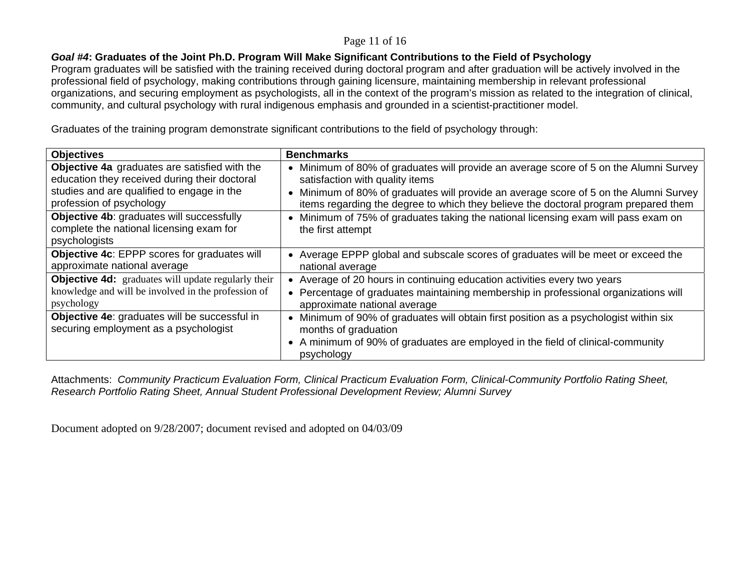#### Page 11 of 16

#### *Goal #4***: Graduates of the Joint Ph.D. Program Will Make Significant Contributions to the Field of Psychology**

Program graduates will be satisfied with the training received during doctoral program and after graduation will be actively involved in the professional field of psychology, making contributions through gaining licensure, maintaining membership in relevant professional organizations, and securing employment as psychologists, all in the context of the program's mission as related to the integration of clinical, community, and cultural psychology with rural indigenous emphasis and grounded in a scientist-practitioner model.

Graduates of the training program demonstrate significant contributions to the field of psychology through:

| <b>Objectives</b>                                                                                      | <b>Benchmarks</b>                                                                                                                                                                                            |
|--------------------------------------------------------------------------------------------------------|--------------------------------------------------------------------------------------------------------------------------------------------------------------------------------------------------------------|
| Objective 4a graduates are satisfied with the                                                          | Minimum of 80% of graduates will provide an average score of 5 on the Alumni Survey                                                                                                                          |
| education they received during their doctoral                                                          | satisfaction with quality items                                                                                                                                                                              |
| studies and are qualified to engage in the                                                             | Minimum of 80% of graduates will provide an average score of 5 on the Alumni Survey                                                                                                                          |
| profession of psychology                                                                               | items regarding the degree to which they believe the doctoral program prepared them                                                                                                                          |
| Objective 4b: graduates will successfully<br>complete the national licensing exam for<br>psychologists | Minimum of 75% of graduates taking the national licensing exam will pass exam on<br>the first attempt                                                                                                        |
| <b>Objective 4c: EPPP scores for graduates will</b>                                                    | • Average EPPP global and subscale scores of graduates will be meet or exceed the                                                                                                                            |
| approximate national average                                                                           | national average                                                                                                                                                                                             |
| <b>Objective 4d:</b> graduates will update regularly their                                             | Average of 20 hours in continuing education activities every two years                                                                                                                                       |
| knowledge and will be involved in the profession of                                                    | Percentage of graduates maintaining membership in professional organizations will                                                                                                                            |
| psychology                                                                                             | approximate national average                                                                                                                                                                                 |
| Objective 4e: graduates will be successful in<br>securing employment as a psychologist                 | Minimum of 90% of graduates will obtain first position as a psychologist within six<br>months of graduation<br>• A minimum of 90% of graduates are employed in the field of clinical-community<br>psychology |

Attachments: *Community Practicum Evaluation Form, Clinical Practicum Evaluation Form, Clinical-Community Portfolio Rating Sheet, Research Portfolio Rating Sheet, Annual Student Professional Development Review; Alumni Survey*

Document adopted on 9/28/2007; document revised and adopted on 04/03/09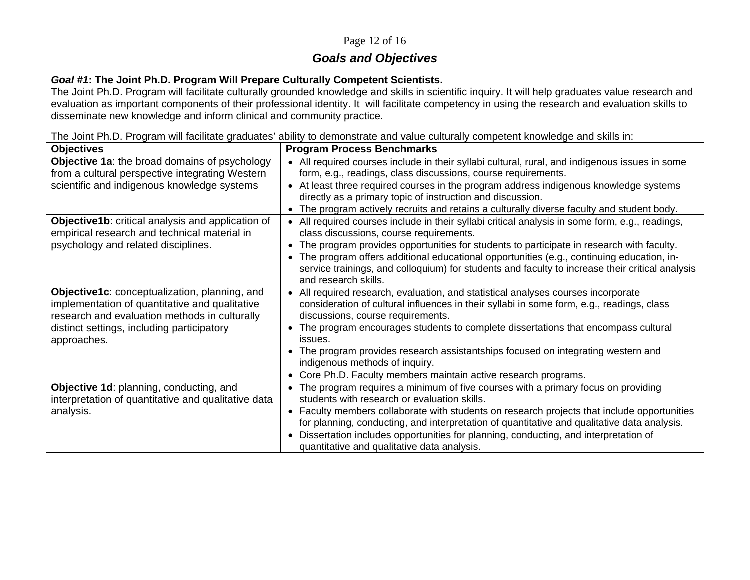## Page 12 of 16

# *Goals and Objectives*

#### *Goal #1***: The Joint Ph.D. Program Will Prepare Culturally Competent Scientists.**

The Joint Ph.D. Program will facilitate culturally grounded knowledge and skills in scientific inquiry. It will help graduates value research and evaluation as important components of their professional identity. It will facilitate competency in using the research and evaluation skills to disseminate new knowledge and inform clinical and community practice.

The Joint Ph.D. Program will facilitate graduates' ability to demonstrate and value culturally competent knowledge and skills in:

| <b>Objectives</b>                                                                                                                                                                              | <b>Program Process Benchmarks</b>                                                                                                                                                                                                                                                                      |
|------------------------------------------------------------------------------------------------------------------------------------------------------------------------------------------------|--------------------------------------------------------------------------------------------------------------------------------------------------------------------------------------------------------------------------------------------------------------------------------------------------------|
| <b>Objective 1a: the broad domains of psychology</b>                                                                                                                                           | • All required courses include in their syllabi cultural, rural, and indigenous issues in some                                                                                                                                                                                                         |
| from a cultural perspective integrating Western                                                                                                                                                | form, e.g., readings, class discussions, course requirements.                                                                                                                                                                                                                                          |
| scientific and indigenous knowledge systems                                                                                                                                                    | • At least three required courses in the program address indigenous knowledge systems                                                                                                                                                                                                                  |
|                                                                                                                                                                                                | directly as a primary topic of instruction and discussion.                                                                                                                                                                                                                                             |
|                                                                                                                                                                                                | The program actively recruits and retains a culturally diverse faculty and student body.                                                                                                                                                                                                               |
| Objective1b: critical analysis and application of<br>empirical research and technical material in                                                                                              | All required courses include in their syllabi critical analysis in some form, e.g., readings,<br>class discussions, course requirements.                                                                                                                                                               |
| psychology and related disciplines.                                                                                                                                                            | The program provides opportunities for students to participate in research with faculty.                                                                                                                                                                                                               |
|                                                                                                                                                                                                | The program offers additional educational opportunities (e.g., continuing education, in-<br>service trainings, and colloquium) for students and faculty to increase their critical analysis<br>and research skills.                                                                                    |
| Objective1c: conceptualization, planning, and<br>implementation of quantitative and qualitative<br>research and evaluation methods in culturally<br>distinct settings, including participatory | All required research, evaluation, and statistical analyses courses incorporate<br>consideration of cultural influences in their syllabi in some form, e.g., readings, class<br>discussions, course requirements.<br>The program encourages students to complete dissertations that encompass cultural |
| approaches.                                                                                                                                                                                    | issues.                                                                                                                                                                                                                                                                                                |
|                                                                                                                                                                                                | The program provides research assistantships focused on integrating western and<br>indigenous methods of inquiry.                                                                                                                                                                                      |
|                                                                                                                                                                                                | Core Ph.D. Faculty members maintain active research programs.                                                                                                                                                                                                                                          |
| Objective 1d: planning, conducting, and<br>interpretation of quantitative and qualitative data                                                                                                 | The program requires a minimum of five courses with a primary focus on providing<br>students with research or evaluation skills.                                                                                                                                                                       |
| analysis.                                                                                                                                                                                      | Faculty members collaborate with students on research projects that include opportunities<br>for planning, conducting, and interpretation of quantitative and qualitative data analysis.                                                                                                               |
|                                                                                                                                                                                                | Dissertation includes opportunities for planning, conducting, and interpretation of<br>quantitative and qualitative data analysis.                                                                                                                                                                     |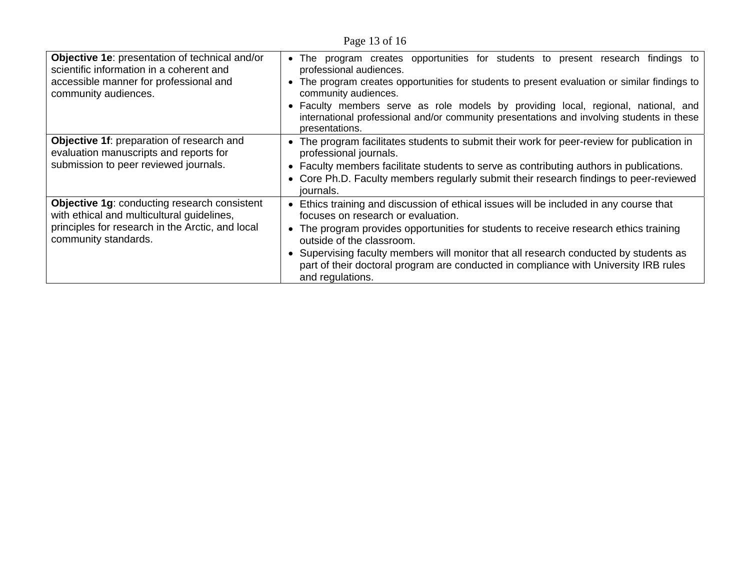Page 13 of 16

| Objective 1e: presentation of technical and/or<br>scientific information in a coherent and<br>accessible manner for professional and<br>community audiences.                  | program creates opportunities for students to present research findings to<br>The<br>professional audiences.<br>The program creates opportunities for students to present evaluation or similar findings to<br>community audiences.<br>• Faculty members serve as role models by providing local, regional, national, and<br>international professional and/or community presentations and involving students in these<br>presentations.            |
|-------------------------------------------------------------------------------------------------------------------------------------------------------------------------------|-----------------------------------------------------------------------------------------------------------------------------------------------------------------------------------------------------------------------------------------------------------------------------------------------------------------------------------------------------------------------------------------------------------------------------------------------------|
| Objective 1f: preparation of research and<br>evaluation manuscripts and reports for<br>submission to peer reviewed journals.                                                  | • The program facilitates students to submit their work for peer-review for publication in<br>professional journals.<br>• Faculty members facilitate students to serve as contributing authors in publications.<br>Core Ph.D. Faculty members regularly submit their research findings to peer-reviewed<br>journals.                                                                                                                                |
| <b>Objective 1g: conducting research consistent</b><br>with ethical and multicultural guidelines,<br>principles for research in the Arctic, and local<br>community standards. | Ethics training and discussion of ethical issues will be included in any course that<br>focuses on research or evaluation.<br>• The program provides opportunities for students to receive research ethics training<br>outside of the classroom.<br>Supervising faculty members will monitor that all research conducted by students as<br>part of their doctoral program are conducted in compliance with University IRB rules<br>and regulations. |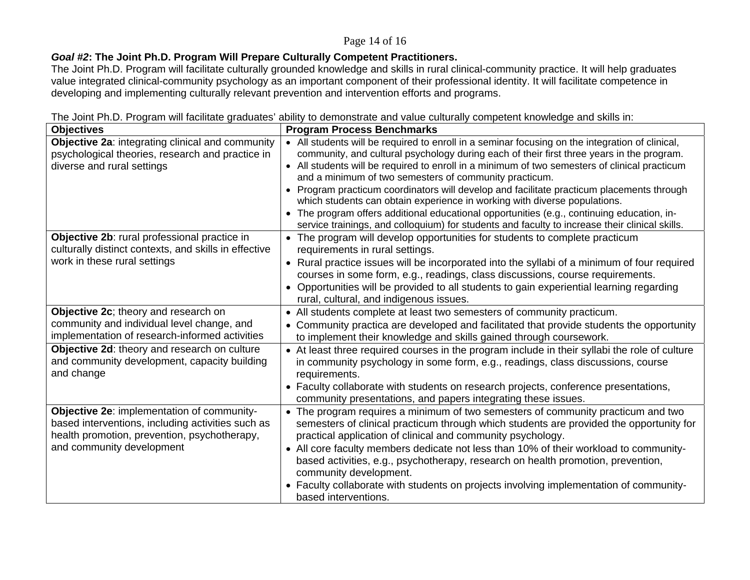#### Page 14 of 16

## *Goal #2***: The Joint Ph.D. Program Will Prepare Culturally Competent Practitioners.**

The Joint Ph.D. Program will facilitate culturally grounded knowledge and skills in rural clinical-community practice. It will help graduates value integrated clinical-community psychology as an important component of their professional identity. It will facilitate competence in developing and implementing culturally relevant prevention and intervention efforts and programs.

| • All students will be required to enroll in a seminar focusing on the integration of clinical,<br>community, and cultural psychology during each of their first three years in the program.<br>• All students will be required to enroll in a minimum of two semesters of clinical practicum<br>and a minimum of two semesters of community practicum.                                                                           |
|-----------------------------------------------------------------------------------------------------------------------------------------------------------------------------------------------------------------------------------------------------------------------------------------------------------------------------------------------------------------------------------------------------------------------------------|
| Program practicum coordinators will develop and facilitate practicum placements through<br>which students can obtain experience in working with diverse populations.<br>The program offers additional educational opportunities (e.g., continuing education, in-                                                                                                                                                                  |
| service trainings, and colloquium) for students and faculty to increase their clinical skills.                                                                                                                                                                                                                                                                                                                                    |
| The program will develop opportunities for students to complete practicum<br>requirements in rural settings.<br>• Rural practice issues will be incorporated into the syllabi of a minimum of four required<br>courses in some form, e.g., readings, class discussions, course requirements.<br>Opportunities will be provided to all students to gain experiential learning regarding<br>rural, cultural, and indigenous issues. |
| • All students complete at least two semesters of community practicum.                                                                                                                                                                                                                                                                                                                                                            |
| • Community practica are developed and facilitated that provide students the opportunity<br>to implement their knowledge and skills gained through coursework.                                                                                                                                                                                                                                                                    |
| • At least three required courses in the program include in their syllabi the role of culture<br>in community psychology in some form, e.g., readings, class discussions, course<br>requirements.<br>• Faculty collaborate with students on research projects, conference presentations,<br>community presentations, and papers integrating these issues.                                                                         |
| The program requires a minimum of two semesters of community practicum and two                                                                                                                                                                                                                                                                                                                                                    |
| semesters of clinical practicum through which students are provided the opportunity for<br>practical application of clinical and community psychology.                                                                                                                                                                                                                                                                            |
| • All core faculty members dedicate not less than 10% of their workload to community-<br>based activities, e.g., psychotherapy, research on health promotion, prevention,<br>community development.<br>• Faculty collaborate with students on projects involving implementation of community-<br>based interventions.                                                                                                             |
|                                                                                                                                                                                                                                                                                                                                                                                                                                   |

The Joint Ph.D. Program will facilitate graduates' ability to demonstrate and value culturally competent knowledge and skills in: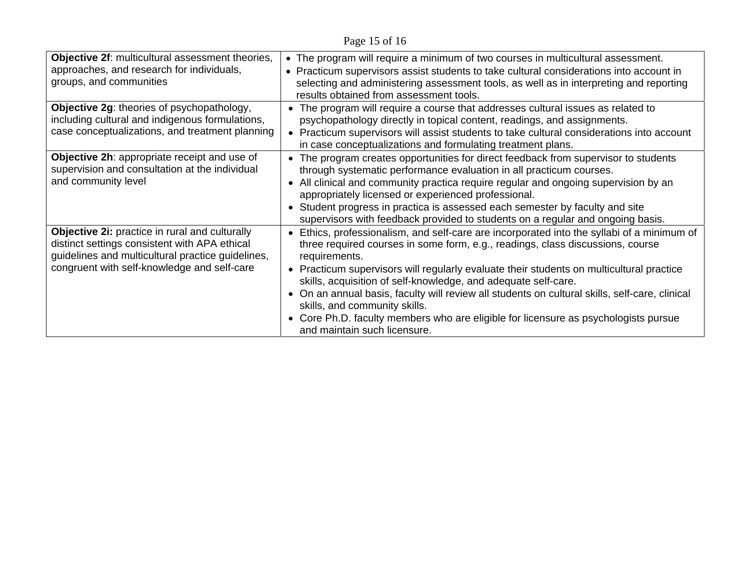Page 15 of 16

| Objective 2f: multicultural assessment theories,<br>approaches, and research for individuals,<br>groups, and communities                                                                            | • The program will require a minimum of two courses in multicultural assessment.<br>• Practicum supervisors assist students to take cultural considerations into account in<br>selecting and administering assessment tools, as well as in interpreting and reporting<br>results obtained from assessment tools.                                                                                                                                                                                                                                                                                                      |
|-----------------------------------------------------------------------------------------------------------------------------------------------------------------------------------------------------|-----------------------------------------------------------------------------------------------------------------------------------------------------------------------------------------------------------------------------------------------------------------------------------------------------------------------------------------------------------------------------------------------------------------------------------------------------------------------------------------------------------------------------------------------------------------------------------------------------------------------|
| Objective 2g: theories of psychopathology,<br>including cultural and indigenous formulations,<br>case conceptualizations, and treatment planning                                                    | • The program will require a course that addresses cultural issues as related to<br>psychopathology directly in topical content, readings, and assignments.<br>• Practicum supervisors will assist students to take cultural considerations into account<br>in case conceptualizations and formulating treatment plans.                                                                                                                                                                                                                                                                                               |
| Objective 2h: appropriate receipt and use of<br>supervision and consultation at the individual<br>and community level                                                                               | • The program creates opportunities for direct feedback from supervisor to students<br>through systematic performance evaluation in all practicum courses.<br>• All clinical and community practica require regular and ongoing supervision by an<br>appropriately licensed or experienced professional.<br>• Student progress in practica is assessed each semester by faculty and site<br>supervisors with feedback provided to students on a regular and ongoing basis.                                                                                                                                            |
| Objective 2i: practice in rural and culturally<br>distinct settings consistent with APA ethical<br>guidelines and multicultural practice guidelines,<br>congruent with self-knowledge and self-care | • Ethics, professionalism, and self-care are incorporated into the syllabi of a minimum of<br>three required courses in some form, e.g., readings, class discussions, course<br>requirements.<br>• Practicum supervisors will regularly evaluate their students on multicultural practice<br>skills, acquisition of self-knowledge, and adequate self-care.<br>• On an annual basis, faculty will review all students on cultural skills, self-care, clinical<br>skills, and community skills.<br>• Core Ph.D. faculty members who are eligible for licensure as psychologists pursue<br>and maintain such licensure. |